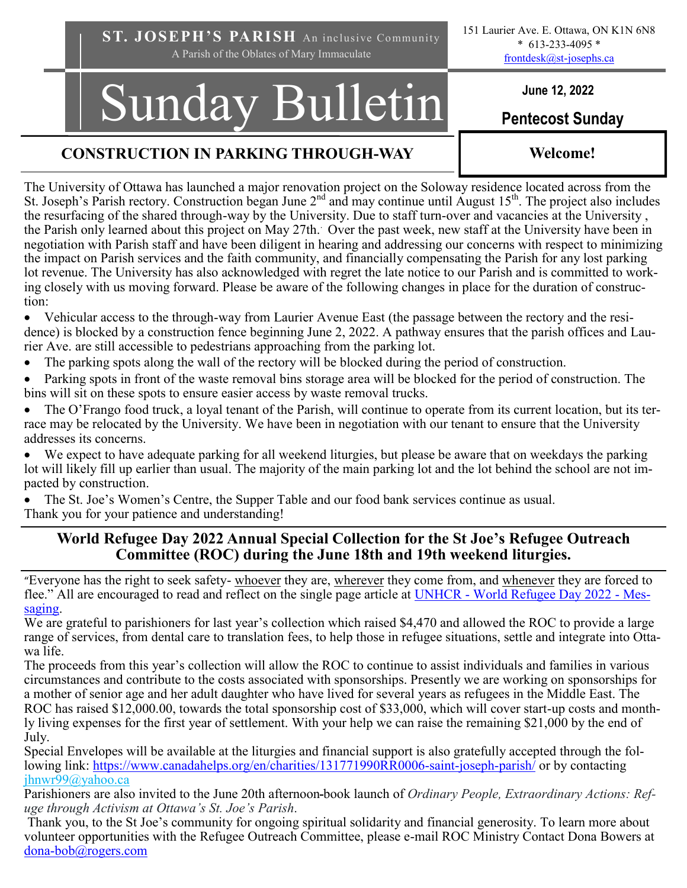**ST. JOSEPH'S PARISH** An inclusive Community A Parish of the Oblates of Mary Immaculate

# Sunday Bulletin **Pentecost Sunday**

# **CONSTRUCTION IN PARKING THROUGH-WAY Welcome!**

The University of Ottawa has launched a major renovation project on the Soloway residence located across from the St. Joseph's Parish rectory. Construction began June  $2<sup>nd</sup>$  and may continue until August 15<sup>th</sup>. The project also includes the resurfacing of the shared through-way by the University. Due to staff turn-over and vacancies at the University , the Parish only learned about this project on May 27th.. Over the past week, new staff at the University have been in negotiation with Parish staff and have been diligent in hearing and addressing our concerns with respect to minimizing the impact on Parish services and the faith community, and financially compensating the Parish for any lost parking lot revenue. The University has also acknowledged with regret the late notice to our Parish and is committed to working closely with us moving forward. Please be aware of the following changes in place for the duration of construction:

• Vehicular access to the through-way from Laurier Avenue East (the passage between the rectory and the residence) is blocked by a construction fence beginning June 2, 2022. A pathway ensures that the parish offices and Laurier Ave. are still accessible to pedestrians approaching from the parking lot.

- The parking spots along the wall of the rectory will be blocked during the period of construction.
- Parking spots in front of the waste removal bins storage area will be blocked for the period of construction. The bins will sit on these spots to ensure easier access by waste removal trucks.
- The O'Frango food truck, a loyal tenant of the Parish, will continue to operate from its current location, but its terrace may be relocated by the University. We have been in negotiation with our tenant to ensure that the University addresses its concerns.

We expect to have adequate parking for all weekend liturgies, but please be aware that on weekdays the parking lot will likely fill up earlier than usual. The majority of the main parking lot and the lot behind the school are not impacted by construction.

• The St. Joe's Women's Centre, the Supper Table and our food bank services continue as usual. Thank you for your patience and understanding!

# **World Refugee Day 2022 Annual Special Collection for the St Joe's Refugee Outreach Committee (ROC) during the June 18th and 19th weekend liturgies.**

"Everyone has the right to seek safety- whoever they are, wherever they come from, and whenever they are forced to flee." All are encouraged to read and reflect on the single page article at UNHCR - [World Refugee Day 2022](https://www.unhcr.org/uk/626fc66f4) - Mes[saging.](https://www.unhcr.org/uk/626fc66f4)

We are grateful to parishioners for last year's collection which raised \$4,470 and allowed the ROC to provide a large range of services, from dental care to translation fees, to help those in refugee situations, settle and integrate into Ottawa life.

The proceeds from this year's collection will allow the ROC to continue to assist individuals and families in various circumstances and contribute to the costs associated with sponsorships. Presently we are working on sponsorships for a mother of senior age and her adult daughter who have lived for several years as refugees in the Middle East. The ROC has raised \$12,000.00, towards the total sponsorship cost of \$33,000, which will cover start-up costs and monthly living expenses for the first year of settlement. With your help we can raise the remaining \$21,000 by the end of July.

Special Envelopes will be available at the liturgies and financial support is also gratefully accepted through the following link: [https://www.canadahelps.org/en/charities/131771990RR0006](https://www.canadahelps.org/en/charities/131771990RR0006-saint-joseph-parish/)-saint-joseph-parish/ or by contacting jhnwr99@yahoo.ca

Parishioners are also invited to the June 20th afternoon book launch of *Ordinary People, Extraordinary Actions: Refuge through Activism at Ottawa's St. Joe's Parish*.

 Thank you, to the St Joe's community for ongoing spiritual solidarity and financial generosity. To learn more about volunteer opportunities with the Refugee Outreach Committee, please e-mail ROC Ministry Contact Dona Bowers at dona-[bob@rogers.com](mailto:dona-bob@rogers.com)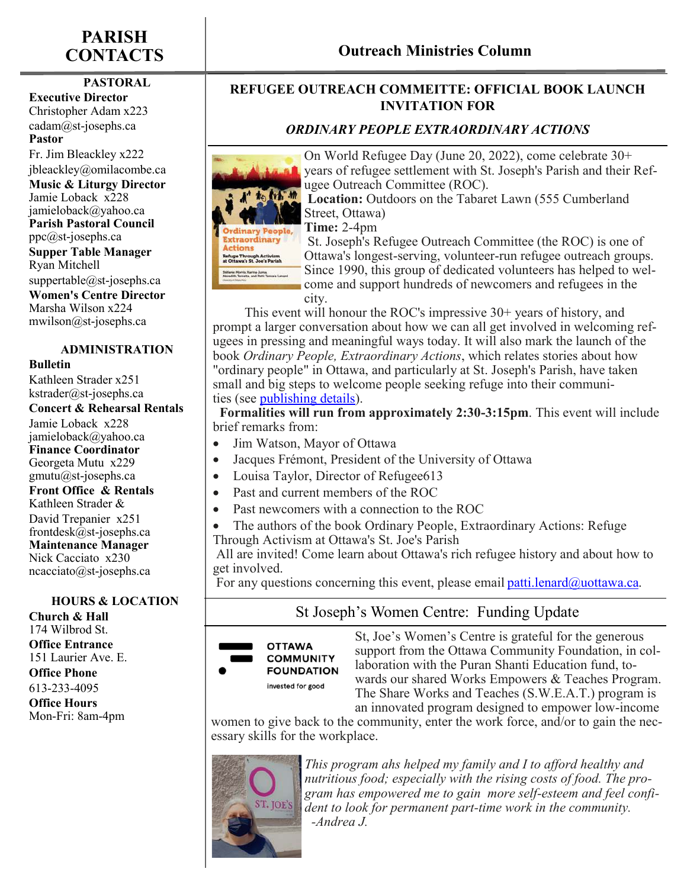# **PARISH**

### **PASTORAL**

**Executive Director** Christopher Adam x223 cadam@st-josephs.ca **Pastor**  Fr. Jim Bleackley x222

jbleackley@omilacombe.ca

**Music & Liturgy Director** Jamie Loback x228 jamieloback@yahoo.ca **Parish Pastoral Council** ppc@st-josephs.ca **Supper Table Manager**  Ryan Mitchell suppertable@st-josephs.ca **Women's Centre Director**  Marsha Wilson x224 mwilson@st-josephs.ca

## **ADMINISTRATION**

**Bulletin**

Kathleen Strader x251 kstrader@st-josephs.ca

#### **Concert & Rehearsal Rentals**

Jamie Loback x228 jamieloback@yahoo.ca **Finance Coordinator** Georgeta Mutu x229 gmutu@st-josephs.ca **Front Office & Rentals** Kathleen Strader & David Trepanier x251 frontdesk@st-josephs.ca **Maintenance Manager** Nick Cacciato x230 ncacciato@st-josephs.ca

#### **HOURS & LOCATION Church & Hall**

174 Wilbrod St. **Office Entrance** 151 Laurier Ave. E. **Office Phone** 613-233-4095

**Office Hours** Mon-Fri: 8am-4pm

# **CONTACTS Outreach Ministries Column**

## **REFUGEE OUTREACH COMMEITTE: OFFICIAL BOOK LAUNCH INVITATION FOR**

### *ORDINARY PEOPLE EXTRAORDINARY ACTIONS*



On World Refugee Day (June 20, 2022), come celebrate 30+ years of refugee settlement with St. Joseph's Parish and their Refugee Outreach Committee (ROC).

**Location:** Outdoors on the Tabaret Lawn (555 Cumberland Street, Ottawa)

**Time:** 2-4pm

St. Joseph's Refugee Outreach Committee (the ROC) is one of Ottawa's longest-serving, volunteer-run refugee outreach groups. Since 1990, this group of dedicated volunteers has helped to welcome and support hundreds of newcomers and refugees in the

city.

 This event will honour the ROC's impressive 30+ years of history, and prompt a larger conversation about how we can all get involved in welcoming refugees in pressing and meaningful ways today. It will also mark the launch of the book *Ordinary People, Extraordinary Actions*, which relates stories about how "ordinary people" in Ottawa, and particularly at St. Joseph's Parish, have taken small and big steps to welcome people seeking refuge into their communities (see [publishing details\).](https://utpdistribution.com/9780776629698/ordinary-people-extraordinary-actions/)

 **Formalities will run from approximately 2:30-3:15pm**. This event will include brief remarks from:

- Jim Watson, Mayor of Ottawa
- Jacques Frémont, President of the University of Ottawa
- Louisa Taylor, Director of Refugee613
- Past and current members of the ROC
- Past newcomers with a connection to the ROC
- The authors of the book Ordinary People, Extraordinary Actions: Refuge Through Activism at Ottawa's St. Joe's Parish

All are invited! Come learn about Ottawa's rich refugee history and about how to get involved.

For any questions concerning this event, please email patti. lenard  $\omega$ uottawa.ca.

# St Joseph's Women Centre: Funding Update



St, Joe's Women's Centre is grateful for the generous support from the Ottawa Community Foundation, in collaboration with the Puran Shanti Education fund, towards our shared Works Empowers & Teaches Program. The Share Works and Teaches (S.W.E.A.T.) program is an innovated program designed to empower low-income

women to give back to the community, enter the work force, and/or to gain the necessary skills for the workplace.



*This program ahs helped my family and I to afford healthy and nutritious food; especially with the rising costs of food. The program has empowered me to gain more self-esteem and feel confident to look for permanent part-time work in the community. -Andrea J.*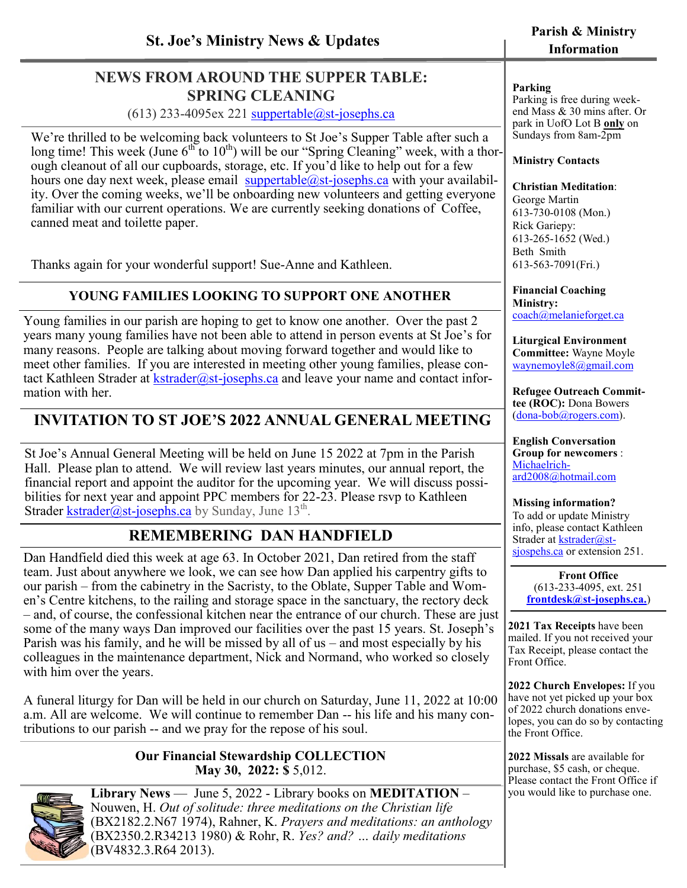# **NEWS FROM AROUND THE SUPPER TABLE: SPRING CLEANING**

 $(613)$  233-4095ex 221 suppertable $@$ st-josephs.ca

We're thrilled to be welcoming back volunteers to St Joe's Supper Table after such a long time! This week (June  $6<sup>th</sup>$  to  $10<sup>th</sup>$ ) will be our "Spring Cleaning" week, with a thorough cleanout of all our cupboards, storage, etc. If you'd like to help out for a few hours one day next week, please email  $\frac{\text{suppertable}(a)}{\text{suppertable}(a)}$ .ca with your availability. Over the coming weeks, we'll be onboarding new volunteers and getting everyone familiar with our current operations. We are currently seeking donations of Coffee, canned meat and toilette paper.

Thanks again for your wonderful support! Sue-Anne and Kathleen.

# **YOUNG FAMILIES LOOKING TO SUPPORT ONE ANOTHER**

Young families in our parish are hoping to get to know one another. Over the past 2 years many young families have not been able to attend in person events at St Joe's for many reasons. People are talking about moving forward together and would like to meet other families. If you are interested in meeting other young families, please contact Kathleen Strader at  $k<sub>strader</sub>(a)<sub>st-iosephs.ca</sub>$  and leave your name and contact information with her.

# **INVITATION TO ST JOE'S 2022 ANNUAL GENERAL MEETING**

St Joe's Annual General Meeting will be held on June 15 2022 at 7pm in the Parish Hall. Please plan to attend. We will review last years minutes, our annual report, the financial report and appoint the auditor for the upcoming year. We will discuss possibilities for next year and appoint PPC members for 22-23. Please rsvp to Kathleen Strader *kstrader@st-josephs.ca* by Sunday, June 13<sup>th</sup>.

# **REMEMBERING DAN HANDFIELD**

Dan Handfield died this week at age 63. In October 2021, Dan retired from the staff team. Just about anywhere we look, we can see how Dan applied his carpentry gifts to our parish – from the cabinetry in the Sacristy, to the Oblate, Supper Table and Women's Centre kitchens, to the railing and storage space in the sanctuary, the rectory deck – and, of course, the confessional kitchen near the entrance of our church. These are just some of the many ways Dan improved our facilities over the past 15 years. St. Joseph's Parish was his family, and he will be missed by all of us – and most especially by his colleagues in the maintenance department, Nick and Normand, who worked so closely with him over the years.

A funeral liturgy for Dan will be held in our church on Saturday, June 11, 2022 at 10:00 a.m. All are welcome. We will continue to remember Dan -- his life and his many contributions to our parish -- and we pray for the repose of his soul.

#### **Our Financial Stewardship COLLECTION May 30, 2022: \$** 5,012.



**Library News** — June 5, 2022 - Library books on **MEDITATION** – Nouwen, H. *Out of solitude: three meditations on the Christian life*  (BX2182.2.N67 1974), Rahner, K. *Prayers and meditations: an anthology*  (BX2350.2.R34213 1980) & Rohr, R. *Yes? and? … daily meditations*  (BV4832.3.R64 2013).

# **Information**

#### **Parking**

Parking is free during weekend Mass & 30 mins after. Or park in UofO Lot B **only** on Sundays from 8am-2pm

#### **Ministry Contacts**

#### **Christian Meditation**:

George Martin 613-730-0108 (Mon.) Rick Gariepy: 613-265-1652 (Wed.) Beth Smith 613-563-7091(Fri.)

**Financial Coaching Ministry:**  [coach@melanieforget.ca](mailto:coach@melanieforget.ca)

**Liturgical Environment Committee:** Wayne Moyle [waynemoyle8@gmail.com](mailto:waynemoyle8@gmail.com)

**Refugee Outreach Committee (ROC):** Dona Bowers (dona-[bob@rogers.com\)](mailto:dona-bob@rogers.com).

**English Conversation Group for newcomers** : [Michaelrich](mailto:Michaelrichard2008@hotmail.com)[ard2008@hotmail.com](mailto:Michaelrichard2008@hotmail.com)

#### **Missing information?**

To add or update Ministry info, please contact Kathleen Strader at **kstrader@st**[sjospehs.ca o](mailto:kstrader@st-josephs.ca)r extension 251.

> **Front Office**  (613-233-4095, ext. 251 **[frontdesk@st](mailto:frontdesk@st-josephs.ca)-josephs.ca.**)

**2021 Tax Receipts** have been mailed. If you not received your Tax Receipt, please contact the Front Office[.](mailto:frontdesk@st-josephs.ca)

**2022 Church Envelopes:** If you have not yet picked up your box of 2022 church donations envelopes, you can do so by contacting the Front Office.

**2022 Missals** are available for purchase, \$5 cash, or cheque. Please contact the Front Office if you would like to purchase one.